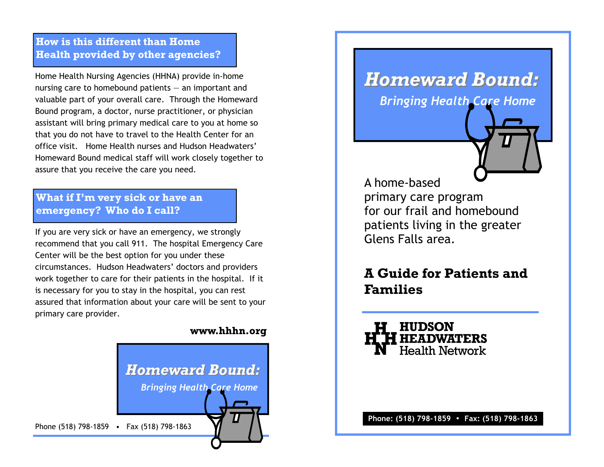## **How is this different than Home Health provided by other agencies?**

Home Health Nursing Agencies (HHNA) provide in-home nursing care to homebound patients — an important and valuable part of your overall care. Through the Homeward Bound program, a doctor, nurse practitioner, or physician assistant will bring primary medical care to you at home so that you do not have to travel to the Health Center for an office visit. Home Health nurses and Hudson Headwaters' Homeward Bound medical staff will work closely together to assure that you receive the care you need.

## **What if I'm very sick or have an emergency? Who do I call?**

If you are very sick or have an emergency, we strongly recommend that you call 911. The hospital Emergency Care Center will be the best option for you under these circumstances. Hudson Headwaters' doctors and providers work together to care for their patients in the hospital. If it is necessary for you to stay in the hospital, you can rest assured that information about your care will be sent to your primary care provider.

#### **www.hhhn.org**



# *Homeward Bound: Homeward Bound:*

*Bringing Health Care Home*

A home-based primary care program for our frail and homebound patients living in the greater Glens Falls area.

# **A Guide for Patients and Families**

**H HUDSON<br>"H HEADWATERS<br>N Health Network** 

**Phone: (518) 798-1859** • **Fax: (518) 798-1863**